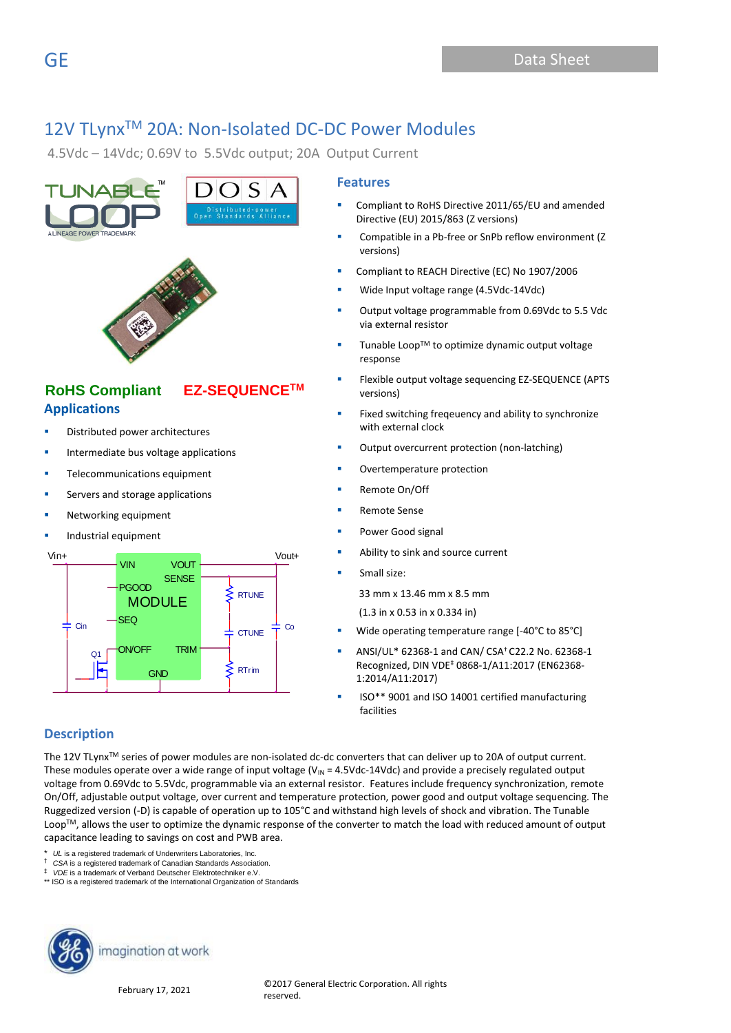4.5Vdc – 14Vdc; 0.69V to 5.5Vdc output; 20A Output Current





# **Applications RoHS Compliant EZ-SEQUENCETM**

- Distributed power architectures
- Intermediate bus voltage applications
- Telecommunications equipment
- Servers and storage applications
- Networking equipment
- Industrial equipment



### **Features**

- Compliant to RoHS Directive 2011/65/EU and amended Directive (EU) 2015/863 (Z versions)
- Compatible in a Pb-free or SnPb reflow environment (Z versions)
- Compliant to REACH Directive (EC) No 1907/2006
- Wide Input voltage range (4.5Vdc-14Vdc)
- Output voltage programmable from 0.69Vdc to 5.5 Vdc via external resistor
- Tunable Loop™ to optimize dynamic output voltage response
- Flexible output voltage sequencing EZ-SEQUENCE (APTS versions)
- Fixed switching freqeuency and ability to synchronize with external clock
- Output overcurrent protection (non-latching)
- Overtemperature protection
- Remote On/Off
- **Remote Sense**
- Power Good signal
- Ability to sink and source current
- Small size:

33 mm x 13.46 mm x 8.5 mm

(1.3 in x 0.53 in x 0.334 in)

- Wide operating temperature range [-40°C to 85°C]
- ANSI/UL\* 62368-1 and CAN/ CSA† C22.2 No. 62368-1 Recognized, DIN VDE‡ 0868-1/A11:2017 (EN62368- 1:2014/A11:2017)
- ISO\*\* 9001 and ISO 14001 certified manufacturing facilities

### **Description**

The 12V TLynx™ series of power modules are non-isolated dc-dc converters that can deliver up to 20A of output current. These modules operate over a wide range of input voltage ( $V_{IN}$  = 4.5Vdc-14Vdc) and provide a precisely regulated output voltage from 0.69Vdc to 5.5Vdc, programmable via an external resistor. Features include frequency synchronization, remote On/Off, adjustable output voltage, over current and temperature protection, power good and output voltage sequencing. The Ruggedized version (-D) is capable of operation up to 105°C and withstand high levels of shock and vibration. The Tunable LoopTM, allows the user to optimize the dynamic response of the converter to match the load with reduced amount of output capacitance leading to savings on cost and PWB area.

UL is a registered trademark of Underwriters Laboratories, Inc.

† *CSA* is a registered trademark of Canadian Standards Association.

*VDE* is a trademark of Verband Deutscher Elektrotechniker e.V.

\*\* ISO is a registered trademark of the International Organization of Standards

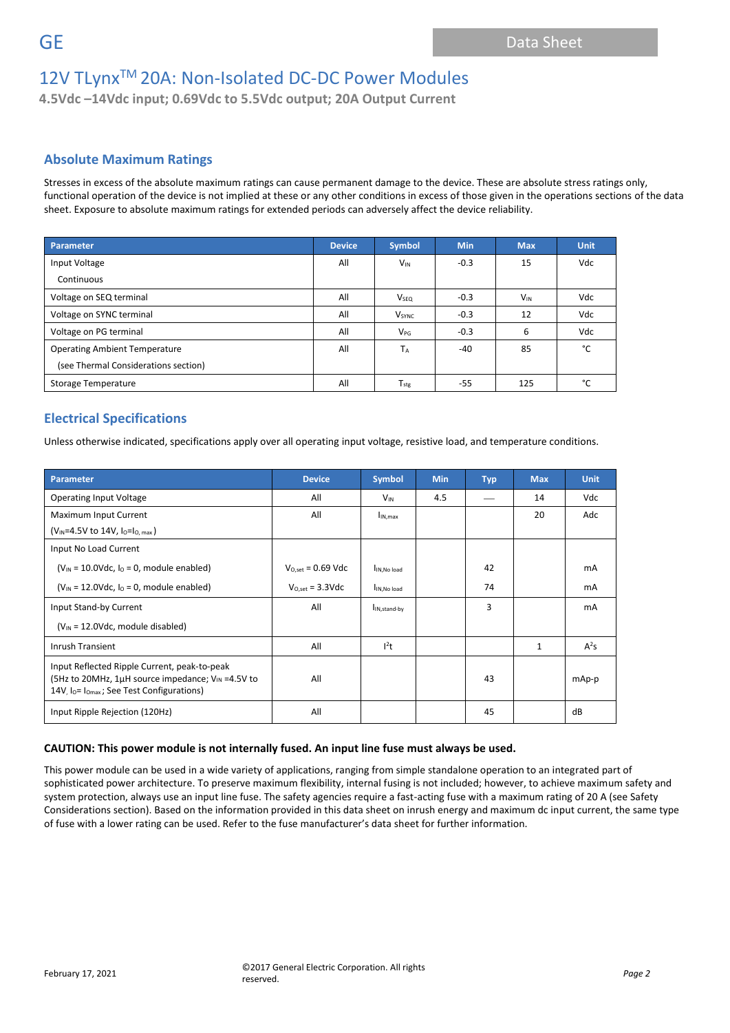**4.5Vdc –14Vdc input; 0.69Vdc to 5.5Vdc output; 20A Output Current**

### **Absolute Maximum Ratings**

Stresses in excess of the absolute maximum ratings can cause permanent damage to the device. These are absolute stress ratings only, functional operation of the device is not implied at these or any other conditions in excess of those given in the operations sections of the data sheet. Exposure to absolute maximum ratings for extended periods can adversely affect the device reliability.

| Parameter                            | <b>Device</b> | Symbol                   | <b>Min</b> | <b>Max</b> | <b>Unit</b> |
|--------------------------------------|---------------|--------------------------|------------|------------|-------------|
| Input Voltage                        | All           | $V_{IN}$                 | $-0.3$     | 15         | Vdc         |
| Continuous                           |               |                          |            |            |             |
| Voltage on SEQ terminal              | All           | V <sub>SEQ</sub>         | $-0.3$     | $V_{IN}$   | Vdc         |
| Voltage on SYNC terminal             | All           | <b>V</b> <sub>SYNC</sub> | $-0.3$     | 12         | Vdc         |
| Voltage on PG terminal               | All           | V <sub>PG</sub>          | $-0.3$     | 6          | Vdc         |
| <b>Operating Ambient Temperature</b> | All           | $T_A$                    | $-40$      | 85         | °C          |
| (see Thermal Considerations section) |               |                          |            |            |             |
| Storage Temperature                  | All           | $T_{\text{stg}}$         | -55        | 125        | °C          |

# **Electrical Specifications**

Unless otherwise indicated, specifications apply over all operating input voltage, resistive load, and temperature conditions.

| Parameter                                                                                                                                                       | <b>Device</b>          | <b>Symbol</b>             | <b>Min</b> | <b>Typ</b> | <b>Max</b>   | <b>Unit</b> |
|-----------------------------------------------------------------------------------------------------------------------------------------------------------------|------------------------|---------------------------|------------|------------|--------------|-------------|
| <b>Operating Input Voltage</b>                                                                                                                                  | All                    | $V_{\text{IN}}$           | 4.5        |            | 14           | Vdc         |
| Maximum Input Current                                                                                                                                           | All                    | I <sub>IN.max</sub>       |            |            | 20           | Adc         |
| $(V_{\text{IN}}=4.5V \text{ to } 14V, I_{\text{O}}=I_{\text{O, max}})$                                                                                          |                        |                           |            |            |              |             |
| Input No Load Current                                                                                                                                           |                        |                           |            |            |              |             |
| $(V_{IN} = 10.0 \text{Vdc}, I_0 = 0$ , module enabled)                                                                                                          | $V_{O.set} = 0.69$ Vdc | IN, No load               |            | 42         |              | mA          |
| $(V_{IN} = 12.0 \text{Vdc}, I_0 = 0$ , module enabled)                                                                                                          | $V_{O,set}$ = 3.3Vdc   | IN, No load               |            | 74         |              | mA          |
| Input Stand-by Current                                                                                                                                          | All                    | I <sub>IN, stand-by</sub> |            | 3          |              | <b>mA</b>   |
| $(V_{IN} = 12.0Vdc$ , module disabled)                                                                                                                          |                        |                           |            |            |              |             |
| <b>Inrush Transient</b>                                                                                                                                         | All                    | 1 <sup>2</sup> t          |            |            | $\mathbf{1}$ | $A^2S$      |
| Input Reflected Ripple Current, peak-to-peak<br>(5Hz to 20MHz, 1 $\mu$ H source impedance; V <sub>IN</sub> =4.5V to<br>14V, lo= lomax; See Test Configurations) | All                    |                           |            | 43         |              | mAp-p       |
| Input Ripple Rejection (120Hz)                                                                                                                                  | All                    |                           |            | 45         |              | dB          |

### **CAUTION: This power module is not internally fused. An input line fuse must always be used.**

This power module can be used in a wide variety of applications, ranging from simple standalone operation to an integrated part of sophisticated power architecture. To preserve maximum flexibility, internal fusing is not included; however, to achieve maximum safety and system protection, always use an input line fuse. The safety agencies require a fast-acting fuse with a maximum rating of 20 A (see Safety Considerations section). Based on the information provided in this data sheet on inrush energy and maximum dc input current, the same type of fuse with a lower rating can be used. Refer to the fuse manufacturer's data sheet for further information.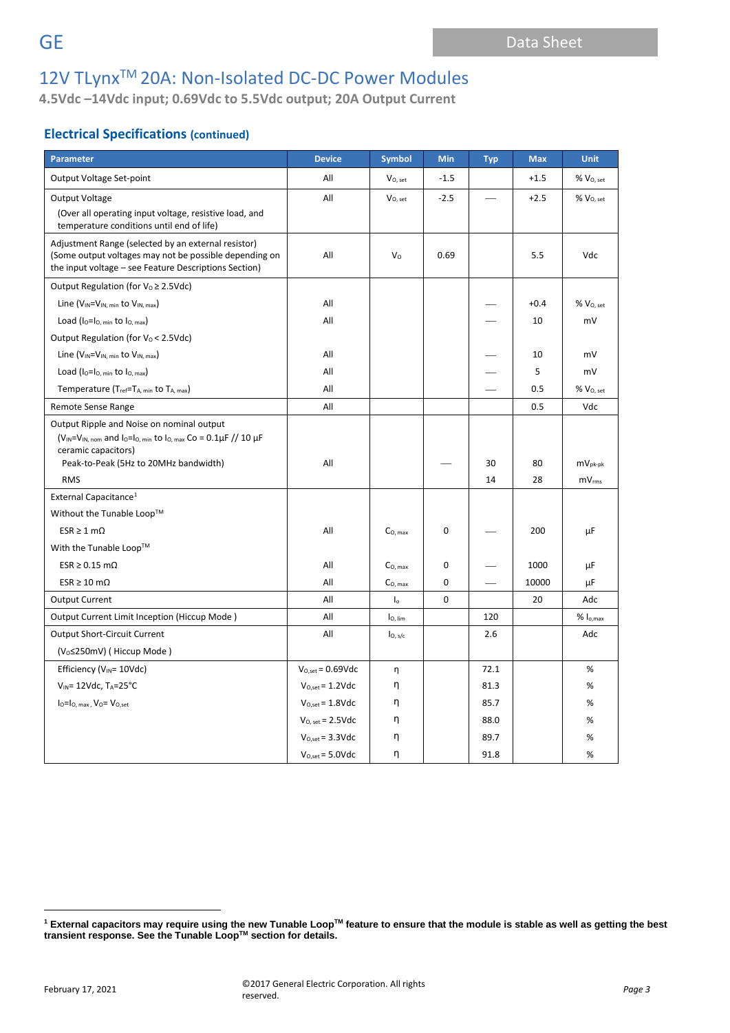**4.5Vdc –14Vdc input; 0.69Vdc to 5.5Vdc output; 20A Output Current**

# **Electrical Specifications (continued)**

| <b>Parameter</b>                                                                                                                                                                                 | <b>Device</b>                 | <b>Symbol</b>       | Min         | <b>Typ</b> | <b>Max</b> | <b>Unit</b>                       |
|--------------------------------------------------------------------------------------------------------------------------------------------------------------------------------------------------|-------------------------------|---------------------|-------------|------------|------------|-----------------------------------|
| Output Voltage Set-point                                                                                                                                                                         | All                           | $V0$ , set          | $-1.5$      |            | $+1.5$     | $%$ $V_{O, set}$                  |
| Output Voltage                                                                                                                                                                                   | All                           | $V_{O, set}$        | $-2.5$      |            | $+2.5$     | % V <sub>O, set</sub>             |
| (Over all operating input voltage, resistive load, and<br>temperature conditions until end of life)                                                                                              |                               |                     |             |            |            |                                   |
| Adjustment Range (selected by an external resistor)<br>(Some output voltages may not be possible depending on<br>the input voltage – see Feature Descriptions Section)                           | All                           | $V_{\rm O}$         | 0.69        |            | 5.5        | Vdc                               |
| Output Regulation (for $V_0 \geq 2.5$ Vdc)                                                                                                                                                       |                               |                     |             |            |            |                                   |
| Line ( $V_{IN} = V_{IN, min}$ to $V_{IN, max}$ )                                                                                                                                                 | All                           |                     |             |            | $+0.4$     | $%$ $V_{O, set}$                  |
| Load ( $I_0 = I_0$ , min to $I_0$ , max)                                                                                                                                                         | All                           |                     |             |            | 10         | mV                                |
| Output Regulation (for $V_0$ < 2.5Vdc)                                                                                                                                                           |                               |                     |             |            |            |                                   |
| Line ( $V_{IN} = V_{IN, min}$ to $V_{IN, max}$ )                                                                                                                                                 | All                           |                     |             |            | 10         | mV                                |
| Load ( $I_0 = I_0$ , min to $I_0$ , max)                                                                                                                                                         | All                           |                     |             |            | 5          | mV                                |
| Temperature (T <sub>ref</sub> =T <sub>A, min</sub> to T <sub>A, max</sub> )                                                                                                                      | All                           |                     |             |            | 0.5        | % V <sub>O, set</sub>             |
| Remote Sense Range                                                                                                                                                                               | All                           |                     |             |            | 0.5        | Vdc                               |
| Output Ripple and Noise on nominal output<br>$(V_{IN} = V_{IN, nom}$ and lo=lo, min to lo, max Co = 0.1µF // 10 µF<br>ceramic capacitors)<br>Peak-to-Peak (5Hz to 20MHz bandwidth)<br><b>RMS</b> | All                           |                     |             | 30<br>14   | 80<br>28   | $mV_{pk-pk}$<br>mV <sub>rms</sub> |
| External Capacitance <sup>1</sup>                                                                                                                                                                |                               |                     |             |            |            |                                   |
| Without the Tunable Loop™                                                                                                                                                                        |                               |                     |             |            |            |                                   |
| $ESR \geq 1$ m $\Omega$                                                                                                                                                                          | All                           | C <sub>O, max</sub> | 0           |            | 200        | μF                                |
| With the Tunable Loop™                                                                                                                                                                           |                               |                     |             |            |            |                                   |
| $ESR \ge 0.15$ m $\Omega$                                                                                                                                                                        | All                           | $CO$ max            | 0           |            | 1000       | μF                                |
| $ESR \ge 10 \text{ m}\Omega$                                                                                                                                                                     | All                           | $C_{O. max}$        | 0           |            | 10000      | μF                                |
| <b>Output Current</b>                                                                                                                                                                            | All                           | $\mathsf{I}_0$      | $\mathbf 0$ |            | 20         | Adc                               |
| Output Current Limit Inception (Hiccup Mode)                                                                                                                                                     | All                           | I <sub>O, lim</sub> |             | 120        |            | $% I_{o,max}$                     |
| <b>Output Short-Circuit Current</b>                                                                                                                                                              | All                           | I <sub>O, s/c</sub> |             | 2.6        |            | Adc                               |
| (V <sub>0</sub> ≤250mV) (Hiccup Mode)                                                                                                                                                            |                               |                     |             |            |            |                                   |
| Efficiency (V <sub>IN</sub> = 10Vdc)                                                                                                                                                             | $V_{O.set} = 0.69Vdc$         | η                   |             | 72.1       |            | $\%$                              |
| $V_{IN}$ = 12Vdc, T <sub>A</sub> =25°C                                                                                                                                                           | $V_{O.set} = 1.2$ Vdc         | η                   |             | 81.3       |            | %                                 |
| $I_0 = I_0$ , max, $V_0 = V_0$ , set                                                                                                                                                             | $V_{O,set} = 1.8 \text{Vdc}$  | η                   |             | 85.7       |            | %                                 |
|                                                                                                                                                                                                  | $V_{O, set} = 2.5 \text{Vdc}$ | η                   |             | 88.0       |            | $\%$                              |
|                                                                                                                                                                                                  | $V_{O,set} = 3.3 \text{Vdc}$  | η                   |             | 89.7       |            | %                                 |
|                                                                                                                                                                                                  | $V_{O,set} = 5.0$ Vdc         | η                   |             | 91.8       |            | %                                 |

**<sup>1</sup> External capacitors may require using the new Tunable LoopTM feature to ensure that the module is stable as well as getting the best transient response. See the Tunable LoopTM section for details.**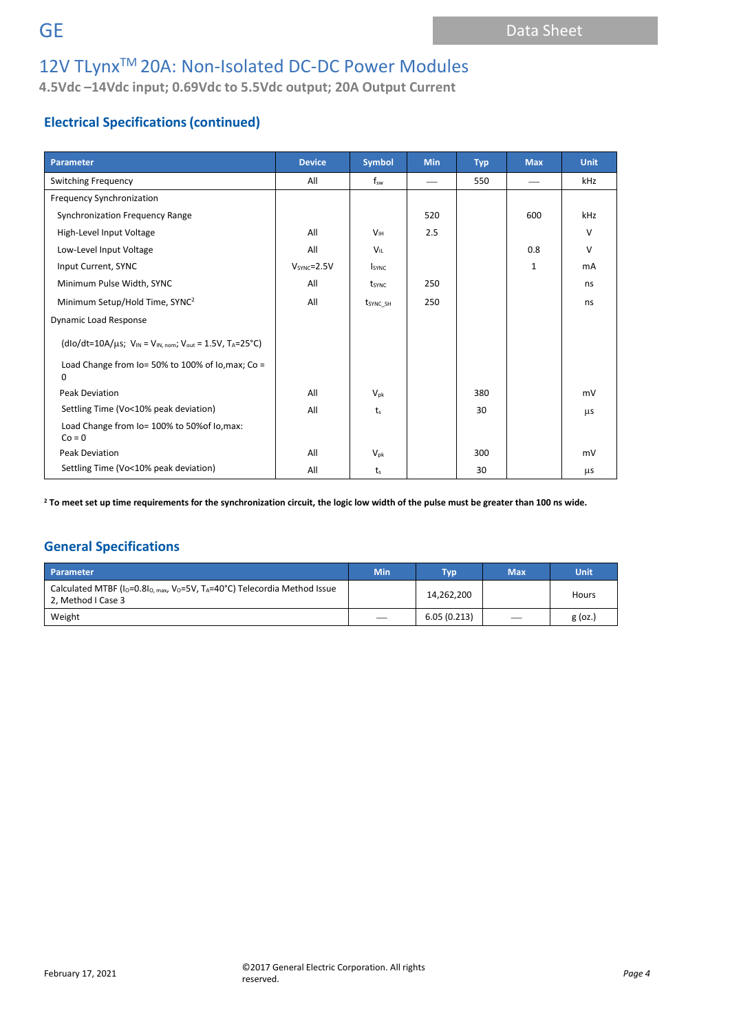**4.5Vdc –14Vdc input; 0.69Vdc to 5.5Vdc output; 20A Output Current**

# **Electrical Specifications(continued)**

| Parameter                                                              | <b>Device</b> | <b>Symbol</b>        | <b>Min</b> | <b>Typ</b> | <b>Max</b> | <b>Unit</b> |
|------------------------------------------------------------------------|---------------|----------------------|------------|------------|------------|-------------|
| Switching Frequency                                                    | All           | $f_{sw}$             |            | 550        |            | kHz         |
| Frequency Synchronization                                              |               |                      |            |            |            |             |
| Synchronization Frequency Range                                        |               |                      | 520        |            | 600        | kHz         |
| High-Level Input Voltage                                               | All           | V <sub>IH</sub>      | 2.5        |            |            | $\vee$      |
| Low-Level Input Voltage                                                | All           | $V_{\rm II}$         |            |            | 0.8        | $\vee$      |
| Input Current, SYNC                                                    | $VSYNC=2.5V$  | <b>I</b> SYNC        |            |            | 1          | mA          |
| Minimum Pulse Width, SYNC                                              | All           | tsync                | 250        |            |            | ns          |
| Minimum Setup/Hold Time, SYNC <sup>2</sup>                             | All           | t <sub>sync_sh</sub> | 250        |            |            | ns          |
| <b>Dynamic Load Response</b>                                           |               |                      |            |            |            |             |
| $(dlo/dt=10A/\mu s; V_{IN} = V_{IN, nom}; V_{out} = 1.5V, T_A = 25°C)$ |               |                      |            |            |            |             |
| Load Change from Io= 50% to 100% of Io, max; Co =<br>0                 |               |                      |            |            |            |             |
| Peak Deviation                                                         | All           | $V_{\rm pk}$         |            | 380        |            | mV          |
| Settling Time (Vo<10% peak deviation)                                  | All           | t <sub>s</sub>       |            | 30         |            | μs          |
| Load Change from Io= 100% to 50% of Io, max:<br>$Co = 0$               |               |                      |            |            |            |             |
| <b>Peak Deviation</b>                                                  | All           | $V_{\rm pk}$         |            | 300        |            | mV          |
| Settling Time (Vo<10% peak deviation)                                  | All           | t <sub>s</sub>       |            | 30         |            | μs          |

**<sup>2</sup> To meet set up time requirements for the synchronization circuit, the logic low width of the pulse must be greater than 100 ns wide.**

## **General Specifications**

| Parameter                                                                                                                                         | <b>Min</b> | <b>Tvp</b>  | Max | Unit      |
|---------------------------------------------------------------------------------------------------------------------------------------------------|------------|-------------|-----|-----------|
| Calculated MTBF (I <sub>O</sub> =0.8I <sub>O, max</sub> , V <sub>O</sub> =5V, T <sub>A</sub> =40°C) Telecordia Method Issue<br>2, Method I Case 3 |            | 14,262,200  |     | Hours     |
| Weight                                                                                                                                            |            | 6.05(0.213) |     | $g$ (oz.) |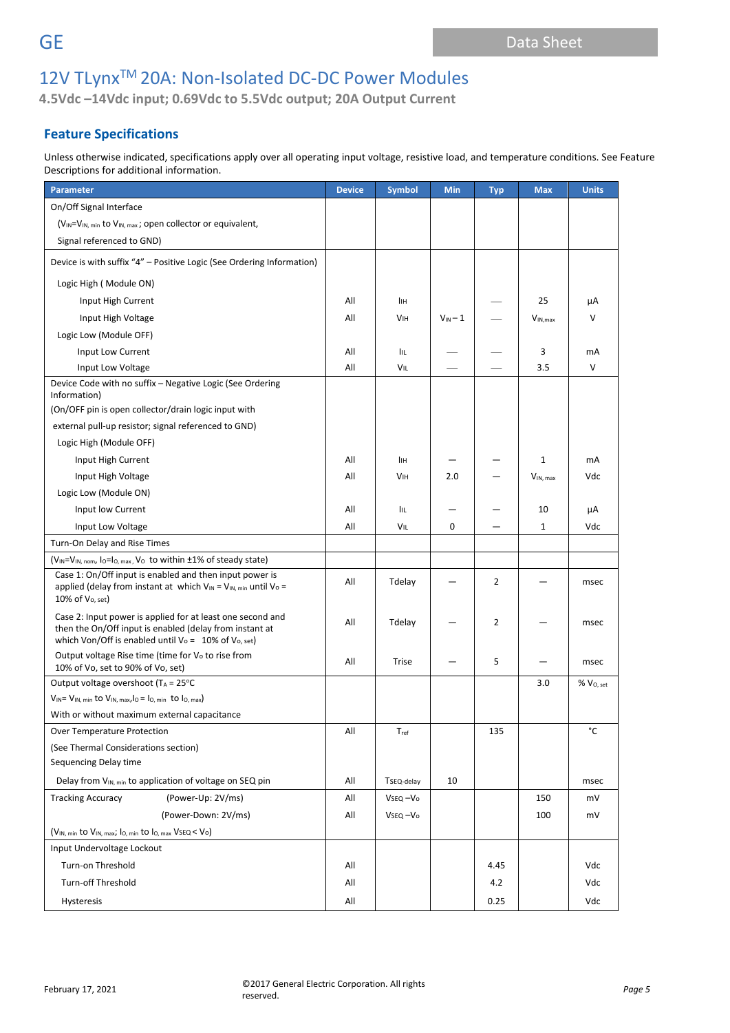**4.5Vdc –14Vdc input; 0.69Vdc to 5.5Vdc output; 20A Output Current**

# **Feature Specifications**

Unless otherwise indicated, specifications apply over all operating input voltage, resistive load, and temperature conditions. See Feature Descriptions for additional information.

| <b>Parameter</b>                                                                                                                                                                | <b>Device</b> | <b>Symbol</b>         | Min               | <b>Typ</b> | <b>Max</b>   | <b>Units</b>          |
|---------------------------------------------------------------------------------------------------------------------------------------------------------------------------------|---------------|-----------------------|-------------------|------------|--------------|-----------------------|
| On/Off Signal Interface                                                                                                                                                         |               |                       |                   |            |              |                       |
| (V <sub>IN</sub> =V <sub>IN, min</sub> to V <sub>IN, max</sub> ; open collector or equivalent,                                                                                  |               |                       |                   |            |              |                       |
| Signal referenced to GND)                                                                                                                                                       |               |                       |                   |            |              |                       |
| Device is with suffix "4" - Positive Logic (See Ordering Information)                                                                                                           |               |                       |                   |            |              |                       |
| Logic High (Module ON)                                                                                                                                                          |               |                       |                   |            |              |                       |
| Input High Current                                                                                                                                                              | All           | Iін                   |                   |            | 25           | μA                    |
| Input High Voltage                                                                                                                                                              | All           | <b>VIH</b>            | $V_{\text{IN}}-1$ |            | $V_{IN,max}$ | v                     |
| Logic Low (Module OFF)                                                                                                                                                          |               |                       |                   |            |              |                       |
| Input Low Current                                                                                                                                                               | All           | IIL                   |                   |            | 3            | mA                    |
| Input Low Voltage                                                                                                                                                               | All           | VIL                   |                   |            | 3.5          | $\vee$                |
| Device Code with no suffix - Negative Logic (See Ordering                                                                                                                       |               |                       |                   |            |              |                       |
| Information)                                                                                                                                                                    |               |                       |                   |            |              |                       |
| (On/OFF pin is open collector/drain logic input with                                                                                                                            |               |                       |                   |            |              |                       |
| external pull-up resistor; signal referenced to GND)                                                                                                                            |               |                       |                   |            |              |                       |
| Logic High (Module OFF)                                                                                                                                                         |               |                       |                   |            |              |                       |
| Input High Current                                                                                                                                                              | All           | Iін                   |                   |            | $\mathbf{1}$ | mA                    |
| Input High Voltage                                                                                                                                                              | All           | <b>V<sub>IH</sub></b> | 2.0               |            | VIN, max     | Vdc                   |
| Logic Low (Module ON)                                                                                                                                                           |               |                       |                   |            |              |                       |
| Input low Current                                                                                                                                                               | All           | <b>IIL</b>            |                   |            | 10           | μA                    |
| Input Low Voltage                                                                                                                                                               | All           | VIL                   | 0                 |            | $\mathbf{1}$ | Vdc                   |
| Turn-On Delay and Rise Times                                                                                                                                                    |               |                       |                   |            |              |                       |
| (V <sub>IN</sub> =V <sub>IN, nom</sub> , l <sub>O</sub> =l <sub>O, max</sub> , V <sub>O</sub> to within ±1% of steady state)                                                    |               |                       |                   |            |              |                       |
| Case 1: On/Off input is enabled and then input power is<br>applied (delay from instant at which $V_{IN} = V_{IN, min}$ until $V_0 =$<br>10% of V <sub>o</sub> , set)            | All           | Tdelay                |                   | 2          |              | msec                  |
| Case 2: Input power is applied for at least one second and<br>then the On/Off input is enabled (delay from instant at<br>which Von/Off is enabled until Vo = $10\%$ of Vo, set) | All           | Tdelay                |                   | 2          |              | msec                  |
| Output voltage Rise time (time for V <sub>o</sub> to rise from<br>10% of Vo, set to 90% of Vo, set)                                                                             | All           | Trise                 |                   | 5          |              | msec                  |
| Output voltage overshoot (TA = 25°C                                                                                                                                             |               |                       |                   |            | 3.0          | % V <sub>O, set</sub> |
| $V_{IN} = V_{IN, min}$ to $V_{IN, max, 10} = I_{O, min}$ to $I_{O, max}$                                                                                                        |               |                       |                   |            |              |                       |
| With or without maximum external capacitance                                                                                                                                    |               |                       |                   |            |              |                       |
| Over Temperature Protection                                                                                                                                                     | All           | $T_{\rm ref}$         |                   | 135        |              | °C                    |
| (See Thermal Considerations section)                                                                                                                                            |               |                       |                   |            |              |                       |
| Sequencing Delay time                                                                                                                                                           |               |                       |                   |            |              |                       |
| Delay from V <sub>IN, min</sub> to application of voltage on SEQ pin                                                                                                            | All           | TSEQ-delay            | 10                |            |              | msec                  |
| <b>Tracking Accuracy</b><br>(Power-Up: 2V/ms)                                                                                                                                   | All           | Vseq-Vo               |                   |            | 150          | mV                    |
| (Power-Down: 2V/ms)                                                                                                                                                             | All           | VsEQ-Vo               |                   |            | 100          | mV                    |
| (V <sub>IN, min</sub> to V <sub>IN, max</sub> ; l <sub>O, min</sub> to l <sub>O, max</sub> VSEQ < Vo)                                                                           |               |                       |                   |            |              |                       |
| Input Undervoltage Lockout                                                                                                                                                      |               |                       |                   |            |              |                       |
| Turn-on Threshold                                                                                                                                                               | All           |                       |                   | 4.45       |              | Vdc                   |
| <b>Turn-off Threshold</b>                                                                                                                                                       | All           |                       |                   | 4.2        |              | Vdc                   |
| Hysteresis                                                                                                                                                                      | All           |                       |                   | 0.25       |              | Vdc                   |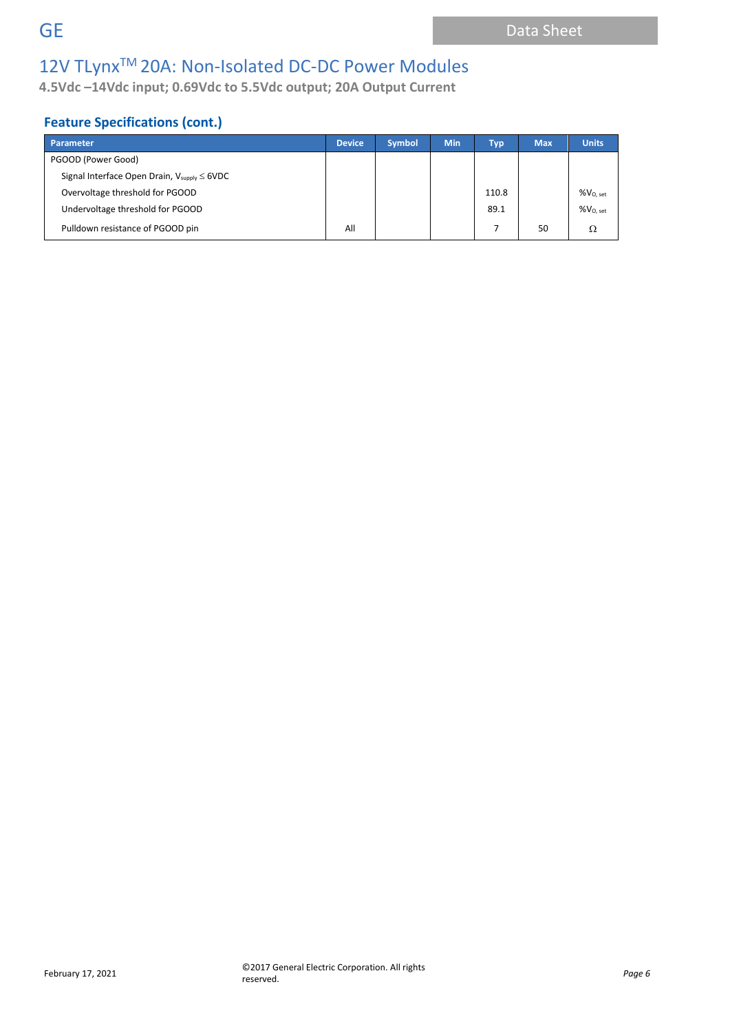**4.5Vdc –14Vdc input; 0.69Vdc to 5.5Vdc output; 20A Output Current**

# **Feature Specifications (cont.)**

| Parameter                                                         | <b>Device</b> | <b>Symbol</b> | <b>Min</b> | Typ <sup>1</sup> | <b>Max</b> | <b>Units</b>         |
|-------------------------------------------------------------------|---------------|---------------|------------|------------------|------------|----------------------|
| PGOOD (Power Good)                                                |               |               |            |                  |            |                      |
| Signal Interface Open Drain, $V_{\text{supply}} \leq 6\text{VDC}$ |               |               |            |                  |            |                      |
| Overvoltage threshold for PGOOD                                   |               |               |            | 110.8            |            | %V <sub>0. set</sub> |
| Undervoltage threshold for PGOOD                                  |               |               |            | 89.1             |            | %V <sub>0. set</sub> |
| Pulldown resistance of PGOOD pin                                  | All           |               |            |                  | 50         | Ω                    |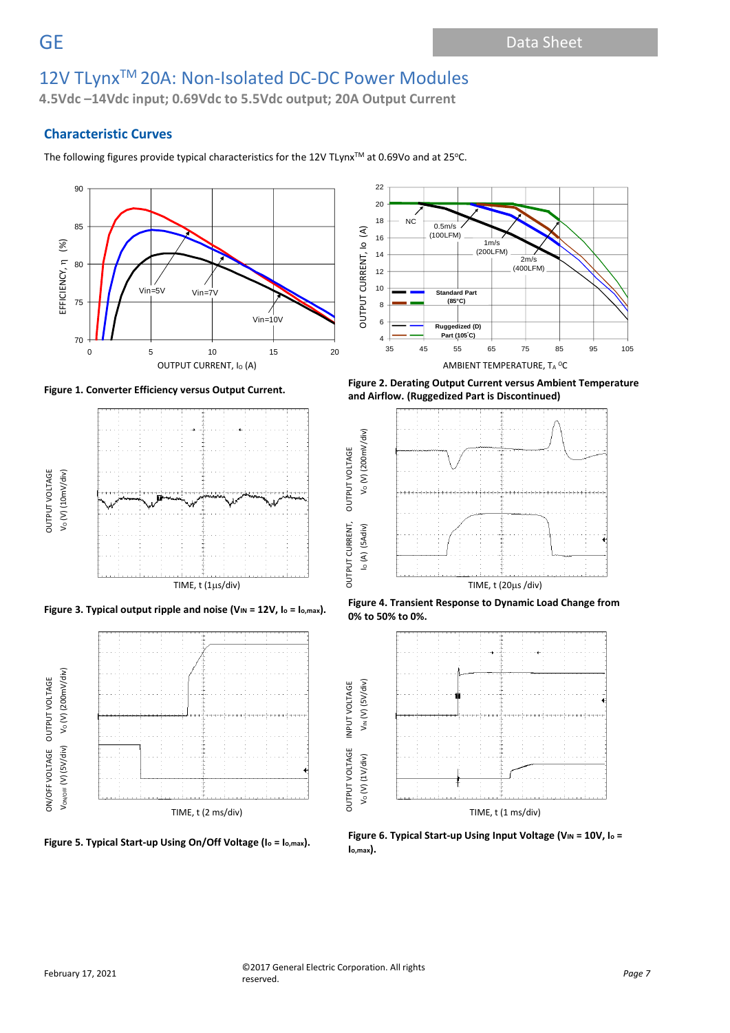**4.5Vdc –14Vdc input; 0.69Vdc to 5.5Vdc output; 20A Output Current**

### **Characteristic Curves**

The following figures provide typical characteristics for the 12V TLynx™ at 0.69Vo and at 25°C.









**Figure 1. Converter Efficiency versus Output Current. Figure 2. Derating Output Current versus Ambient Temperature and Airflow. (Ruggedized Part is Discontinued)**



**Figure 3. Typical output ripple and noise (V**<sub>IN</sub> = 12V, I<sub>0</sub> = I<sub>0</sub>,max). **Figure 4. Transient Response to Dynamic Load Change from 0% to 50% to 0%.**



**Figure 5. Typical Start-up Using On/Off Voltage (I<sup>o</sup> = Io,max). Figure 6. Typical Start-up Using Input Voltage (VIN = 10V, I<sup>o</sup> <sup>=</sup> Io,max).**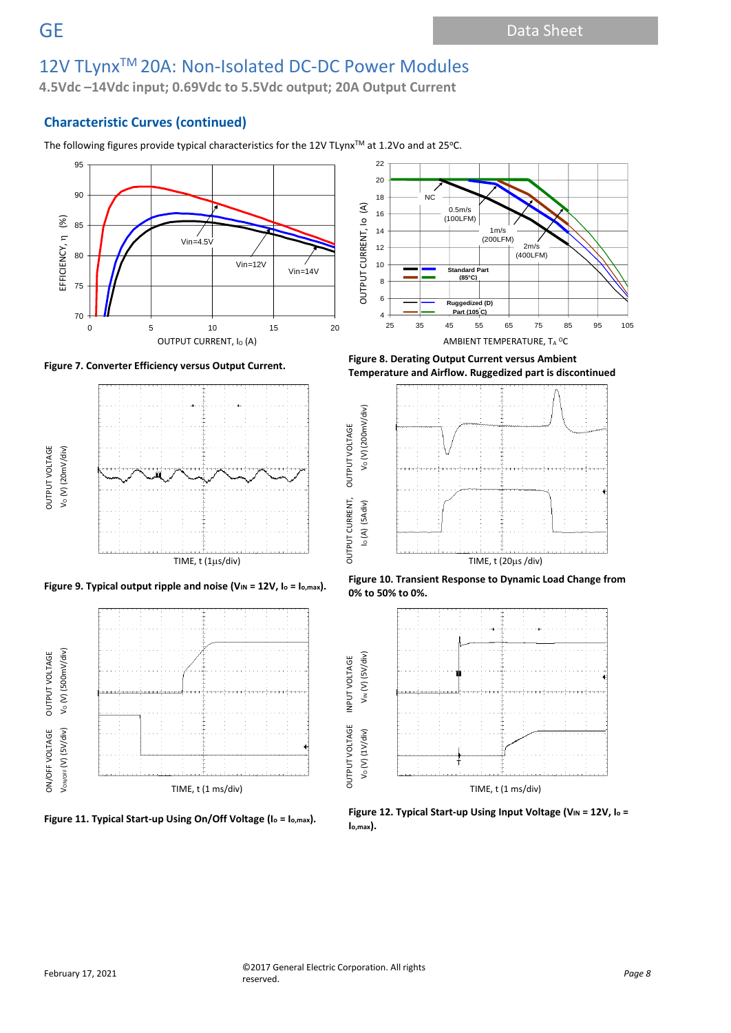**4.5Vdc –14Vdc input; 0.69Vdc to 5.5Vdc output; 20A Output Current**

## **Characteristic Curves (continued)**

The following figures provide typical characteristics for the 12V TLynx™ at 1.2Vo and at 25°C.











**Figure 7. Converter Efficiency versus Output Current. Figure 8. Derating Output Current versus Ambient Temperature and Airflow. Ruggedized part is discontinued**



**Figure 10. Transient Response to Dynamic Load Change from**<br> **Pigure 10. Transient Response to Dynamic Load Change from Pigure 12V**, lo = lo,max). **0% to 50% to 0%.**



**Figure 11. Typical Start-up Using On/Off Voltage (I<sup>o</sup> = Io,max). Figure 12. Typical Start-up Using Input Voltage (VIN = 12V, I<sup>o</sup> <sup>=</sup> Io,max).**

**OUTPUT VOLTAGE**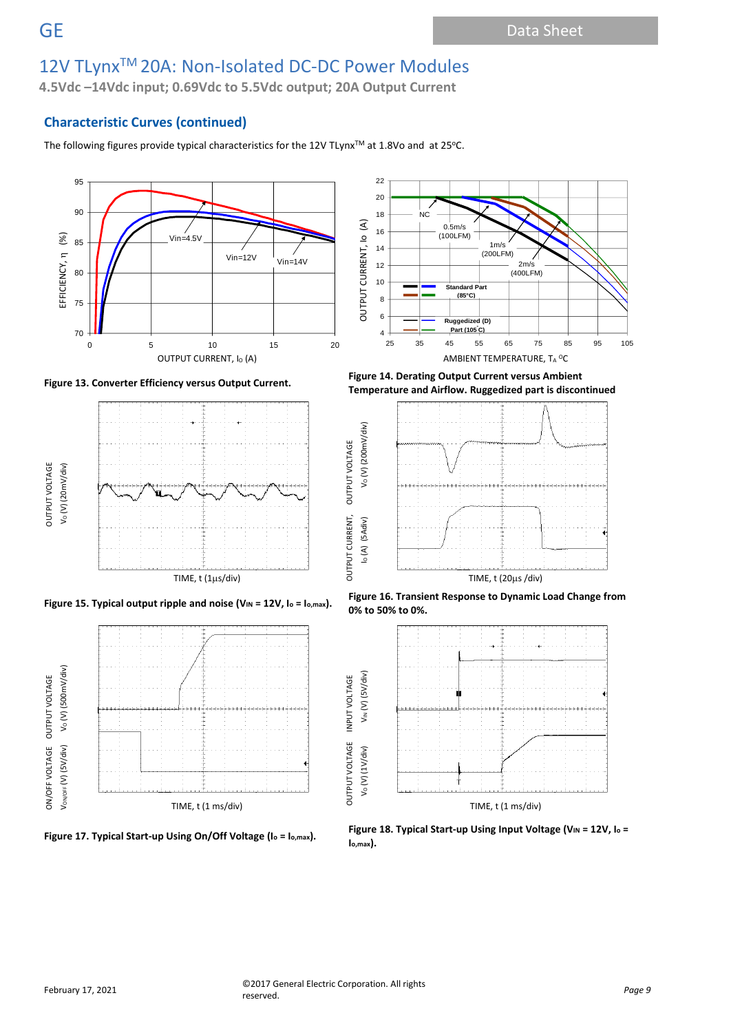**4.5Vdc –14Vdc input; 0.69Vdc to 5.5Vdc output; 20A Output Current**

### **Characteristic Curves (continued)**

The following figures provide typical characteristics for the 12V TLynx™ at 1.8Vo and at 25°C.









25 35 45 55 65 75 85 95 105 OUTPUT CURRENT, I $_{\rm O}$  (A)  $_{\rm AMBIENT}$  Temperature, T<sub>A</sub>  $^{\rm O}$ C **Figure 13. Converter Efficiency versus Output Current. Figure 14. Derating Output Current versus Ambient** 

**Standard Part (85°C)**

1m/s (200LFM)

 $2m$ (400LFM)

0.5m/s (100LFM)

NC

**Ruggedized (D) Part (105°C)**

OUTPUT CURRENT, Io (A)

OUTPUT CURRENT, IO

 $\widehat{\mathcal{E}}$ 

OUTPUT CURRENT, OUTPUT VOLTAGE

OUTPUT VOLTAGE





Figure 15. Typical output ripple and noise (V<sub>IN</sub> = 12V, I<sub>o</sub> = I<sub>o,max</sub>). Figure 16. Transient Response to Dynamic Load Change from **0% to 50% to 0%.**



**Figure 17. Typical Start-up Using On/Off Voltage (I<sup>o</sup> = Io,max). Figure 18. Typical Start-up Using Input Voltage (VIN = 12V, I<sup>o</sup> <sup>=</sup> Io,max).**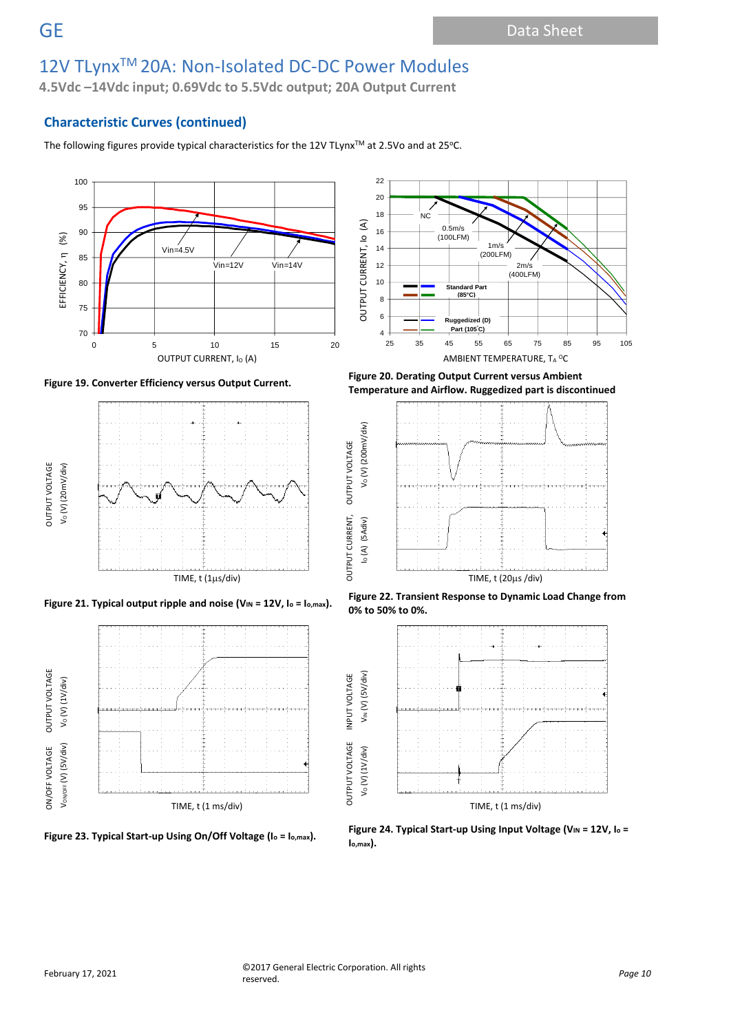**4.5Vdc –14Vdc input; 0.69Vdc to 5.5Vdc output; 20A Output Current**

## **Characteristic Curves (continued)**

The following figures provide typical characteristics for the 12V TLynx™ at 2.5Vo and at 25°C.











1m/s (200LFM)

> $2m/s$  $(400L)$ FM)

**Standard Part (85°C)**

0.5m/s (100LFM)

 $NC$ 

**Ruggedized (D)** 

OUTPUT CURRENT, Io (A)

OUTPUT CURRENT, IO

 $\widehat{\mathcal{E}}$ 

OUTPUT CURRENT, OUTPUT VOLTAGE

**OUTPUT VOLTAGE** 

OUTPUT VOLTAGE INPUT VOLTAGE

INPUT VOLTAGE





Figure 21. Typical output ripple and noise (V<sub>IN</sub> = 12V, I<sub>o</sub> = I<sub>o,max</sub>). Figure 22. Transient Response to Dynamic Load Change from **0% to 50% to 0%.**



**Figure 23. Typical Start-up Using On/Off Voltage (I<sup>o</sup> = Io,max). Figure 24. Typical Start-up Using Input Voltage (VIN = 12V, I<sup>o</sup> <sup>=</sup> Io,max).**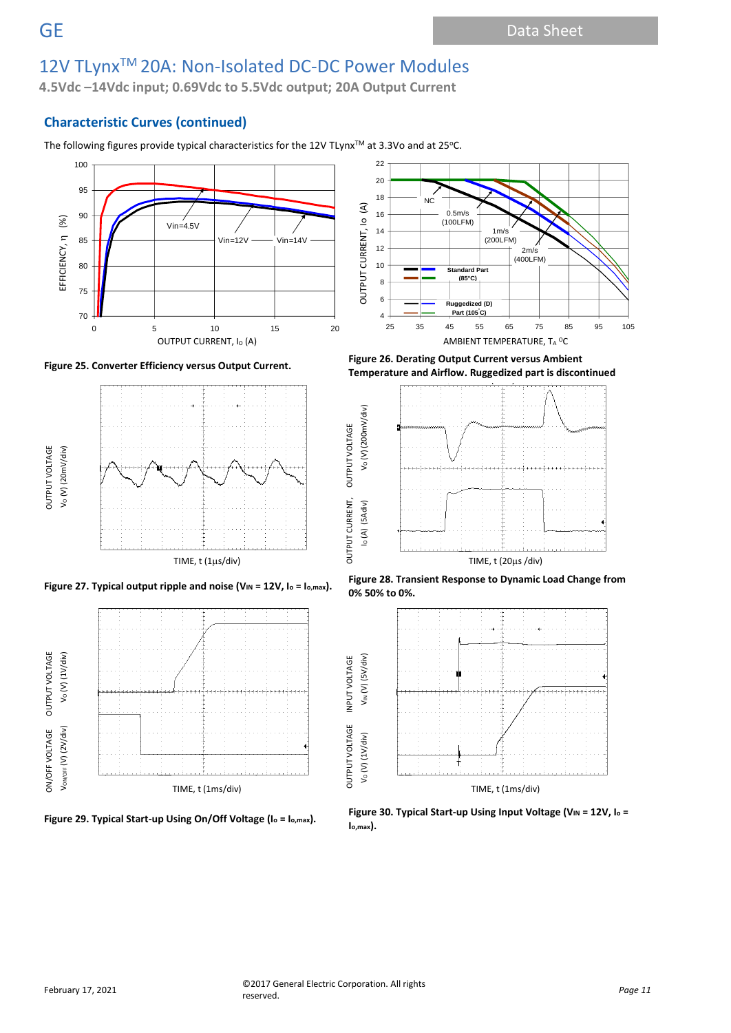**4.5Vdc –14Vdc input; 0.69Vdc to 5.5Vdc output; 20A Output Current**

## **Characteristic Curves (continued)**

The following figures provide typical characteristics for the 12V TLynx<sup>™</sup> at 3.3Vo and at 25°C.













**Figure 25. Converter Efficiency versus Output Current. Figure 26. Derating Output Current versus Ambient Temperature and Airflow. Ruggedized part is discontinued**









**OUTPUT VOLTAGE**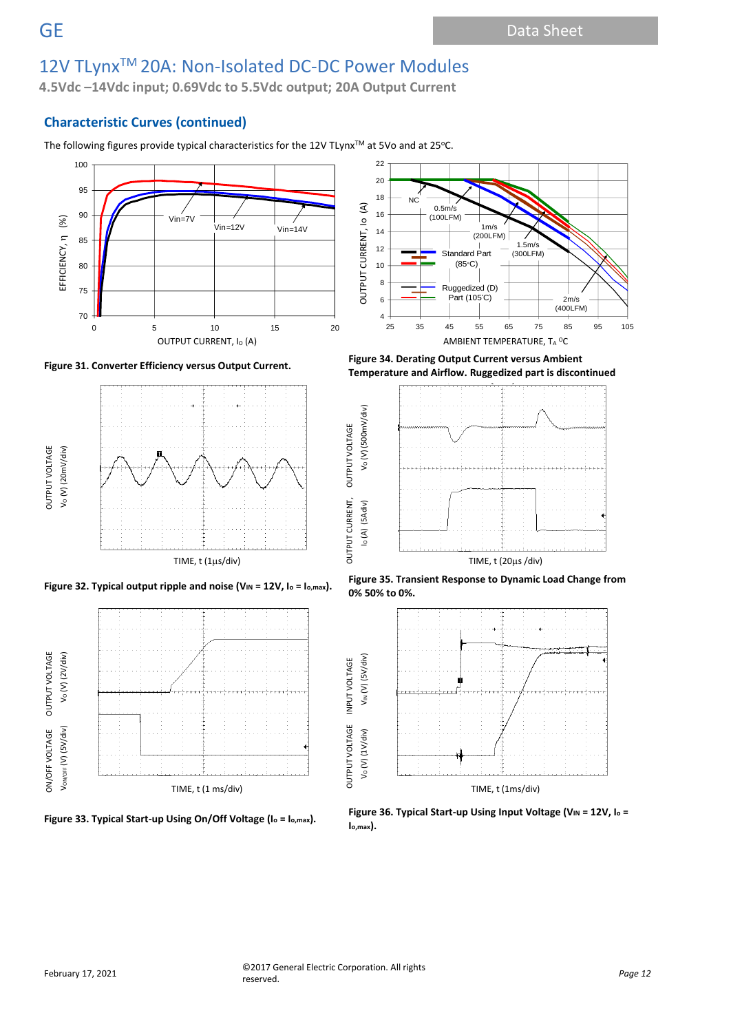**4.5Vdc –14Vdc input; 0.69Vdc to 5.5Vdc output; 20A Output Current**

## **Characteristic Curves (continued)**

The following figures provide typical characteristics for the 12V TLynx™ at 5Vo and at 25°C.













**Figure 31. Converter Efficiency versus Output Current. Figure 34. Derating Output Current versus Ambient Temperature and Airflow. Ruggedized part is discontinued**



Figure 32. Typical output ripple and noise (V<sub>IN</sub> = 12V, lo = l<sub>o,max</sub>). Figure 35. Transient Response to Dynamic Load Change from **0% 50% to 0%.**





**OUTPUT VOLTAGE**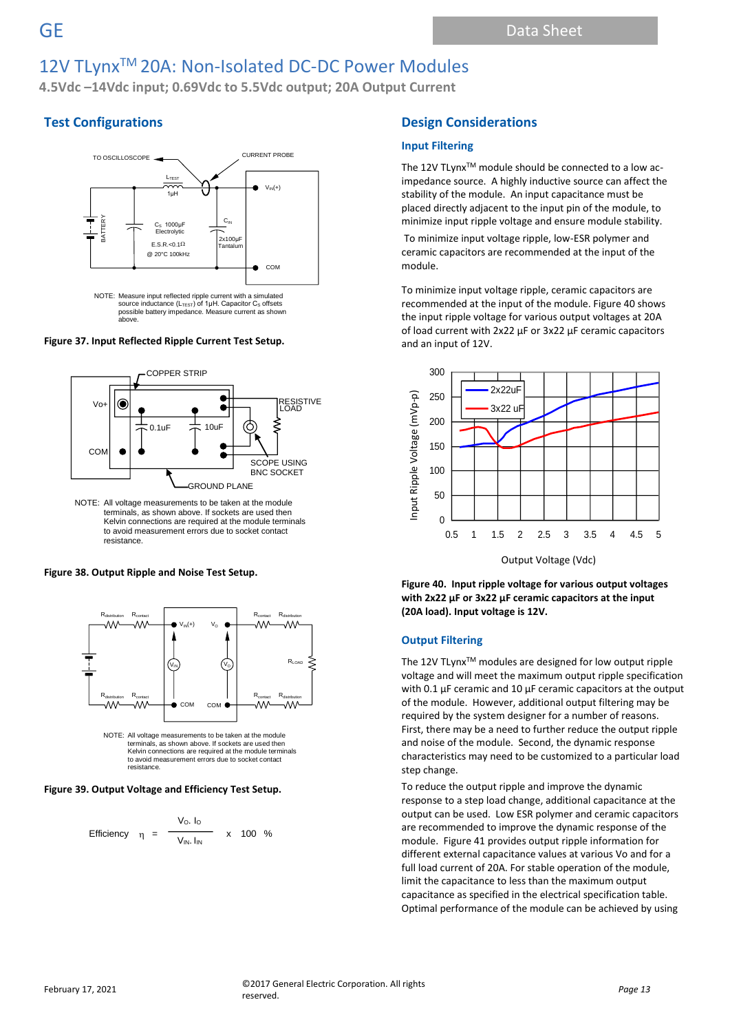**4.5Vdc –14Vdc input; 0.69Vdc to 5.5Vdc output; 20A Output Current**

# **Test Configurations**



**Figure 37. Input Reflected Ripple Current Test Setup.**



NOTE: All voltage measurements to be taken at the module terminals, as shown above. If sockets are used then Kelvin connections are required at the module terminals to avoid measurement errors due to socket contact resistance.

### **Figure 38. Output Ripple and Noise Test Setup.**



NOTE: All voltage measurements to be taken at the module terminals, as shown above. If sockets are used then Kelvin connections are required at the module terminals to avoid measurement errors due to socket contact resistance.

### **Figure 39. Output Voltage and Efficiency Test Setup.**

Efficiency 
$$
\eta = \frac{V_0 I_0}{V_{IN} I_{IN}} \times 100 %
$$

# **Design Considerations**

### **Input Filtering**

The 12V TLynx™ module should be connected to a low acimpedance source. A highly inductive source can affect the stability of the module. An input capacitance must be placed directly adjacent to the input pin of the module, to minimize input ripple voltage and ensure module stability.

To minimize input voltage ripple, low-ESR polymer and ceramic capacitors are recommended at the input of the module.

To minimize input voltage ripple, ceramic capacitors are recommended at the input of the module. Figure 40 shows the input ripple voltage for various output voltages at 20A of load current with 2x22 µF or 3x22 µF ceramic capacitors and an input of 12V.



Output Voltage (Vdc)

**Figure 40. Input ripple voltage for various output voltages with 2x22 µF or 3x22 µF ceramic capacitors at the input (20A load). Input voltage is 12V.**

### **Output Filtering**

The 12V TLynx<sup>™</sup> modules are designed for low output ripple voltage and will meet the maximum output ripple specification with 0.1 µF ceramic and 10 µF ceramic capacitors at the output of the module. However, additional output filtering may be required by the system designer for a number of reasons. First, there may be a need to further reduce the output ripple and noise of the module. Second, the dynamic response characteristics may need to be customized to a particular load step change.

To reduce the output ripple and improve the dynamic response to a step load change, additional capacitance at the output can be used. Low ESR polymer and ceramic capacitors are recommended to improve the dynamic response of the module. Figure 41 provides output ripple information for different external capacitance values at various Vo and for a full load current of 20A. For stable operation of the module, limit the capacitance to less than the maximum output capacitance as specified in the electrical specification table. Optimal performance of the module can be achieved by using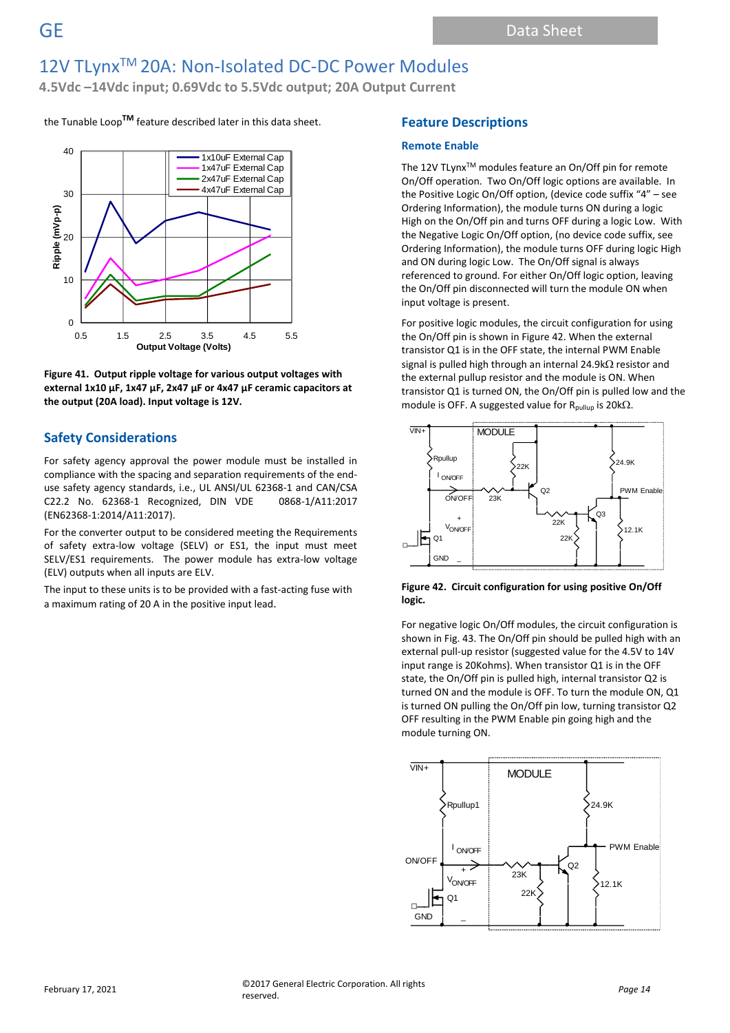**4.5Vdc –14Vdc input; 0.69Vdc to 5.5Vdc output; 20A Output Current**

the Tunable Loop**TM** feature described later in this data sheet.



**Figure 41. Output ripple voltage for various output voltages with external 1x10 µF, 1x47 µF, 2x47 µF or 4x47 µF ceramic capacitors at the output (20A load). Input voltage is 12V.**

### **Safety Considerations**

For safety agency approval the power module must be installed in compliance with the spacing and separation requirements of the enduse safety agency standards, i.e., UL ANSI/UL 62368-1 and CAN/CSA C22.2 No. 62368-1 Recognized, DIN VDE 0868-1/A11:2017 (EN62368-1:2014/A11:2017).

For the converter output to be considered meeting the Requirements of safety extra-low voltage (SELV) or ES1, the input must meet SELV/ES1 requirements. The power module has extra-low voltage (ELV) outputs when all inputs are ELV.

The input to these units is to be provided with a fast-acting fuse with a maximum rating of 20 A in the positive input lead.

### **Feature Descriptions**

### **Remote Enable**

The 12V TLynx™ modules feature an On/Off pin for remote On/Off operation. Two On/Off logic options are available. In the Positive Logic On/Off option, (device code suffix "4" – see Ordering Information), the module turns ON during a logic High on the On/Off pin and turns OFF during a logic Low. With the Negative Logic On/Off option, (no device code suffix, see Ordering Information), the module turns OFF during logic High and ON during logic Low. The On/Off signal is always referenced to ground. For either On/Off logic option, leaving the On/Off pin disconnected will turn the module ON when input voltage is present.

For positive logic modules, the circuit configuration for using the On/Off pin is shown in Figure 42. When the external transistor Q1 is in the OFF state, the internal PWM Enable signal is pulled high through an internal 24.9k $\Omega$  resistor and the external pullup resistor and the module is ON. When transistor Q1 is turned ON, the On/Off pin is pulled low and the module is OFF. A suggested value for  $R_{\text{pullup}}$  is 20k $\Omega$ .





For negative logic On/Off modules, the circuit configuration is shown in Fig. 43. The On/Off pin should be pulled high with an external pull-up resistor (suggested value for the 4.5V to 14V input range is 20Kohms). When transistor Q1 is in the OFF state, the On/Off pin is pulled high, internal transistor Q2 is turned ON and the module is OFF. To turn the module ON, Q1 is turned ON pulling the On/Off pin low, turning transistor Q2 OFF resulting in the PWM Enable pin going high and the module turning ON.

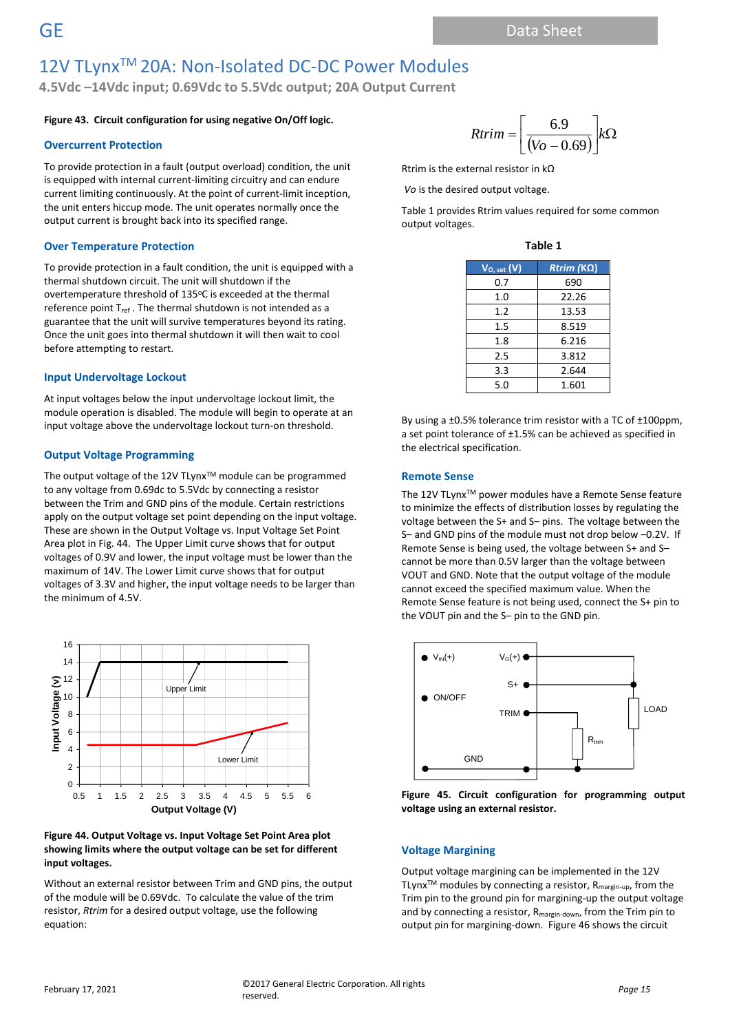**4.5Vdc –14Vdc input; 0.69Vdc to 5.5Vdc output; 20A Output Current**

### **Figure 43. Circuit configuration for using negative On/Off logic.**

#### **Overcurrent Protection**

To provide protection in a fault (output overload) condition, the unit is equipped with internal current-limiting circuitry and can endure current limiting continuously. At the point of current-limit inception, the unit enters hiccup mode. The unit operates normally once the output current is brought back into its specified range.

### **Over Temperature Protection**

To provide protection in a fault condition, the unit is equipped with a thermal shutdown circuit. The unit will shutdown if the overtemperature threshold of 135°C is exceeded at the thermal reference point  $T_{ref}$ . The thermal shutdown is not intended as a guarantee that the unit will survive temperatures beyond its rating. Once the unit goes into thermal shutdown it will then wait to cool before attempting to restart.

### **Input Undervoltage Lockout**

At input voltages below the input undervoltage lockout limit, the module operation is disabled. The module will begin to operate at an input voltage above the undervoltage lockout turn-on threshold.

### **Output Voltage Programming**

The output voltage of the 12V TLynx™ module can be programmed to any voltage from 0.69dc to 5.5Vdc by connecting a resistor between the Trim and GND pins of the module. Certain restrictions apply on the output voltage set point depending on the input voltage. These are shown in the Output Voltage vs. Input Voltage Set Point Area plot in Fig. 44. The Upper Limit curve shows that for output voltages of 0.9V and lower, the input voltage must be lower than the maximum of 14V. The Lower Limit curve shows that for output voltages of 3.3V and higher, the input voltage needs to be larger than the minimum of 4.5V.



#### **Figure 44. Output Voltage vs. Input Voltage Set Point Area plot showing limits where the output voltage can be set for different input voltages.**

Without an external resistor between Trim and GND pins, the output of the module will be 0.69Vdc. To calculate the value of the trim resistor, *Rtrim* for a desired output voltage, use the following equation:

$$
Rtrim = \left[\frac{6.9}{(Vo - 0.69)}\right] k\Omega
$$

Rtrim is the external resistor in kΩ

*Vo* is the desired output voltage.

Table 1 provides Rtrim values required for some common output voltages.

| ۰,<br>. .<br>×<br>×<br>ł |  |
|--------------------------|--|
|--------------------------|--|

| $V_{O, set}(V)$ | $Rtrim (K\Omega)$ |
|-----------------|-------------------|
| 0.7             | 690               |
| 1.0             | 22.26             |
| 1.2             | 13.53             |
| 1.5             | 8.519             |
| 1.8             | 6.216             |
| 2.5             | 3.812             |
| 3.3             | 2.644             |
| 5.0             | 1.601             |

By using a ±0.5% tolerance trim resistor with a TC of ±100ppm, a set point tolerance of ±1.5% can be achieved as specified in the electrical specification.

### **Remote Sense**

The 12V TLynx<sup>™</sup> power modules have a Remote Sense feature to minimize the effects of distribution losses by regulating the voltage between the S+ and S– pins. The voltage between the S– and GND pins of the module must not drop below –0.2V. If Remote Sense is being used, the voltage between S+ and S– cannot be more than 0.5V larger than the voltage between VOUT and GND. Note that the output voltage of the module cannot exceed the specified maximum value. When the Remote Sense feature is not being used, connect the S+ pin to the VOUT pin and the S– pin to the GND pin.



**Figure 45. Circuit configuration for programming output voltage using an external resistor.**

#### **Voltage Margining**

Output voltage margining can be implemented in the 12V TLynx<sup>TM</sup> modules by connecting a resistor,  $R_{\text{margin-up}}$ , from the Trim pin to the ground pin for margining-up the output voltage and by connecting a resistor, R<sub>margin-down</sub>, from the Trim pin to output pin for margining-down. Figure 46 shows the circuit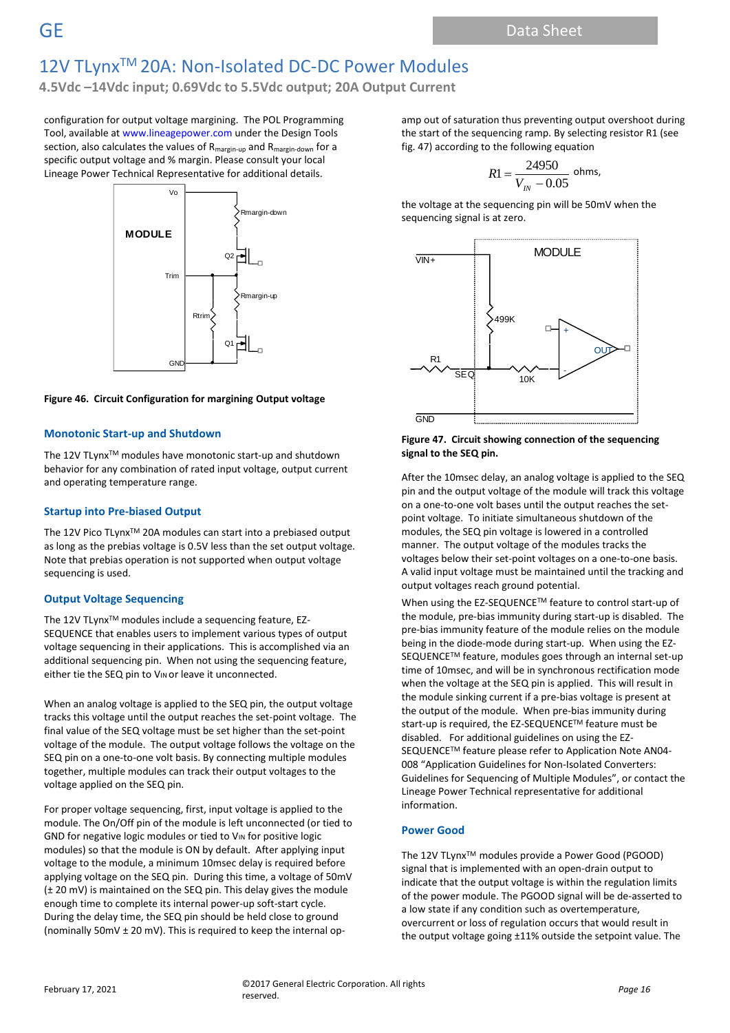**4.5Vdc –14Vdc input; 0.69Vdc to 5.5Vdc output; 20A Output Current**

configuration for output voltage margining. The POL Programming Tool, available at www.lineagepower.com under the Design Tools section, also calculates the values of  $R_{\text{margin-up}}$  and  $R_{\text{margin-down}}$  for a specific output voltage and % margin. Please consult your local Lineage Power Technical Representative for additional details.



#### **Figure 46. Circuit Configuration for margining Output voltage**

#### **Monotonic Start-up and Shutdown**

The 12V TLynx™ modules have monotonic start-up and shutdown behavior for any combination of rated input voltage, output current and operating temperature range.

#### **Startup into Pre-biased Output**

The 12V Pico TLynx<sup>™</sup> 20A modules can start into a prebiased output as long as the prebias voltage is 0.5V less than the set output voltage. Note that prebias operation is not supported when output voltage sequencing is used.

#### **Output Voltage Sequencing**

The 12V TLynx<sup>™</sup> modules include a sequencing feature, EZ-SEQUENCE that enables users to implement various types of output voltage sequencing in their applications. This is accomplished via an additional sequencing pin. When not using the sequencing feature, either tie the SEQ pin to VIN or leave it unconnected.

When an analog voltage is applied to the SEQ pin, the output voltage tracks this voltage until the output reaches the set-point voltage. The final value of the SEQ voltage must be set higher than the set-point voltage of the module. The output voltage follows the voltage on the SEQ pin on a one-to-one volt basis. By connecting multiple modules together, multiple modules can track their output voltages to the voltage applied on the SEQ pin.

For proper voltage sequencing, first, input voltage is applied to the module. The On/Off pin of the module is left unconnected (or tied to GND for negative logic modules or tied to VIN for positive logic modules) so that the module is ON by default. After applying input voltage to the module, a minimum 10msec delay is required before applying voltage on the SEQ pin. During this time, a voltage of 50mV (± 20 mV) is maintained on the SEQ pin. This delay gives the module enough time to complete its internal power-up soft-start cycle. During the delay time, the SEQ pin should be held close to ground (nominally 50mV ± 20 mV). This is required to keep the internal opamp out of saturation thus preventing output overshoot during the start of the sequencing ramp. By selecting resistor R1 (see fig. 47) according to the following equation

$$
R1 = \frac{24950}{V_{IN} - 0.05}
$$
 ohms,

the voltage at the sequencing pin will be 50mV when the sequencing signal is at zero.



#### **Figure 47. Circuit showing connection of the sequencing signal to the SEQ pin.**

After the 10msec delay, an analog voltage is applied to the SEQ pin and the output voltage of the module will track this voltage on a one-to-one volt bases until the output reaches the setpoint voltage. To initiate simultaneous shutdown of the modules, the SEQ pin voltage is lowered in a controlled manner. The output voltage of the modules tracks the voltages below their set-point voltages on a one-to-one basis. A valid input voltage must be maintained until the tracking and output voltages reach ground potential.

When using the EZ-SEQUENCETM feature to control start-up of the module, pre-bias immunity during start-up is disabled. The pre-bias immunity feature of the module relies on the module being in the diode-mode during start-up. When using the EZ-SEQUENCE™ feature, modules goes through an internal set-up time of 10msec, and will be in synchronous rectification mode when the voltage at the SEQ pin is applied. This will result in the module sinking current if a pre-bias voltage is present at the output of the module. When pre-bias immunity during start-up is required, the EZ-SEQUENCETM feature must be disabled. For additional guidelines on using the EZ-SEQUENCE™ feature please refer to Application Note AN04-008 "Application Guidelines for Non-Isolated Converters: Guidelines for Sequencing of Multiple Modules", or contact the Lineage Power Technical representative for additional information.

#### **Power Good**

The 12V TLynx™ modules provide a Power Good (PGOOD) signal that is implemented with an open-drain output to indicate that the output voltage is within the regulation limits of the power module. The PGOOD signal will be de-asserted to a low state if any condition such as overtemperature, overcurrent or loss of regulation occurs that would result in the output voltage going ±11% outside the setpoint value. The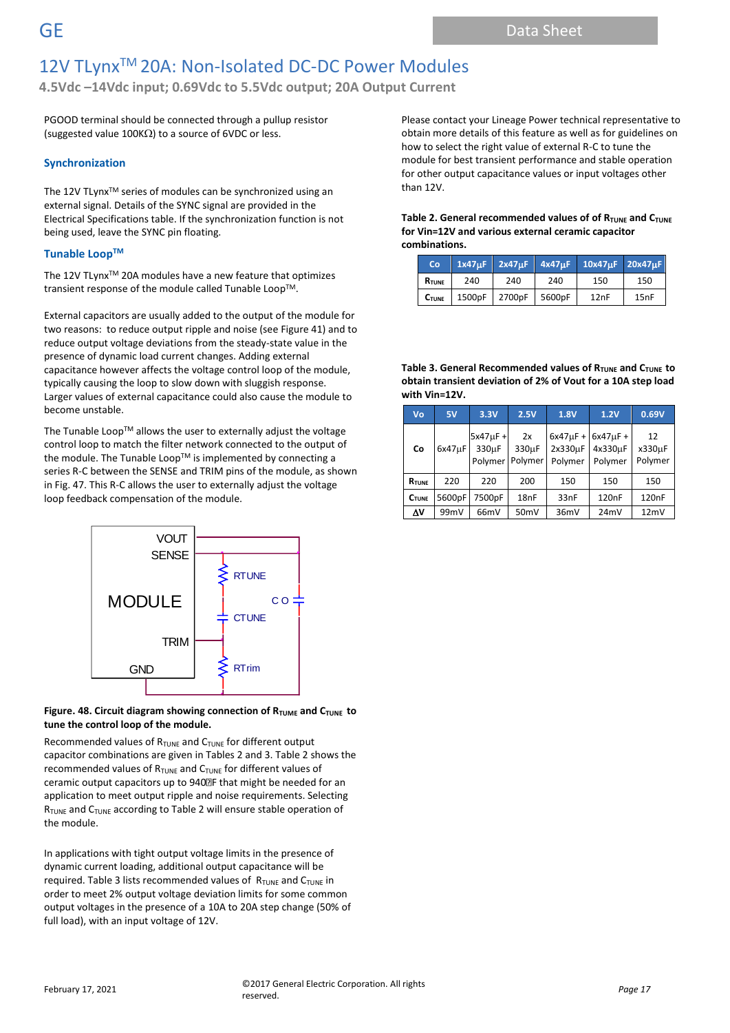**4.5Vdc –14Vdc input; 0.69Vdc to 5.5Vdc output; 20A Output Current**

PGOOD terminal should be connected through a pullup resistor (suggested value 100K $\Omega$ ) to a source of 6VDC or less.

### **Synchronization**

The 12V TLynx™ series of modules can be synchronized using an external signal. Details of the SYNC signal are provided in the Electrical Specifications table. If the synchronization function is not being used, leave the SYNC pin floating.

### **Tunable Loop TM**

The 12V TLynx<sup>™</sup> 20A modules have a new feature that optimizes transient response of the module called Tunable Loop™.

External capacitors are usually added to the output of the module for two reasons: to reduce output ripple and noise (see Figure 41) and to reduce output voltage deviations from the steady-state value in the presence of dynamic load current changes. Adding external capacitance however affects the voltage control loop of the module, typically causing the loop to slow down with sluggish response. Larger values of external capacitance could also cause the module to become unstable.

The Tunable Loop<sup>TM</sup> allows the user to externally adjust the voltage control loop to match the filter network connected to the output of the module. The Tunable Loop™ is implemented by connecting a series R-C between the SENSE and TRIM pins of the module, as shown in Fig. 47. This R-C allows the user to externally adjust the voltage loop feedback compensation of the module.



### **Figure. 48. Circuit diagram showing connection of RTUME and CTUNE to tune the control loop of the module.**

Recommended values of R<sub>TUNE</sub> and C<sub>TUNE</sub> for different output capacitor combinations are given in Tables 2 and 3. Table 2 shows the recommended values of  $R_{\text{TUNE}}$  and  $C_{\text{TUNE}}$  for different values of ceramic output capacitors up to 940 F that might be needed for an application to meet output ripple and noise requirements. Selecting  $R_{\text{TUNE}}$  and  $C_{\text{TUNE}}$  according to Table 2 will ensure stable operation of the module.

In applications with tight output voltage limits in the presence of dynamic current loading, additional output capacitance will be required. Table 3 lists recommended values of  $R_{\text{TUNE}}$  and  $C_{\text{TUNE}}$  in order to meet 2% output voltage deviation limits for some common output voltages in the presence of a 10A to 20A step change (50% of full load), with an input voltage of 12V.

Please contact your Lineage Power technical representative to obtain more details of this feature as well as for guidelines on how to select the right value of external R-C to tune the module for best transient performance and stable operation for other output capacitance values or input voltages other than 12V.

#### **Table 2. General recommended values of of R<sub>TUNE</sub> and C<sub>TUNE</sub> for Vin=12V and various external ceramic capacitor combinations.**

| <b>Co</b>         |     |                      |     | 1x47uF 2x47uF 4x47uF 10x47uF 20x47uF |      |
|-------------------|-----|----------------------|-----|--------------------------------------|------|
| <b>R</b> TUNE     | 240 | 240                  | 240 | 150                                  | 150  |
| $C_{\text{TUNE}}$ |     | 1500pF 2700pF 5600pF |     | 12nF                                 | 15nF |

#### **Table 3. General Recommended values of RTUNE and CTUNE to obtain transient deviation of 2% of Vout for a 10A step load with Vin=12V.**

| Vo           | 5V          | 3.3V                                           | 2.5V                                | 1.8V                                | 1.2V                                | 0.69V                   |
|--------------|-------------|------------------------------------------------|-------------------------------------|-------------------------------------|-------------------------------------|-------------------------|
| Co           | $6x47\mu F$ | $5x47\mu F +$<br>330 <sub>u</sub> F<br>Polymer | 2x<br>330 <sub>u</sub> F<br>Polymer | $6x47\mu F +$<br>2x330µF<br>Polymer | $6x47\mu F +$<br>4x330uF<br>Polymer | 12<br>x330µF<br>Polymer |
| RTUNE        | 220         | 220                                            | 200                                 | 150                                 | 150                                 | 150                     |
| <b>CTUNE</b> | 5600pF      | 7500pF                                         | 18nF                                | 33nF                                | 120 <sub>n</sub> F                  | 120 <sub>n</sub> F      |
| Δ٧           | 99mV        | 66mV                                           | 50 <sub>mV</sub>                    | 36mV                                | 24 <sub>m</sub> V                   | 12mV                    |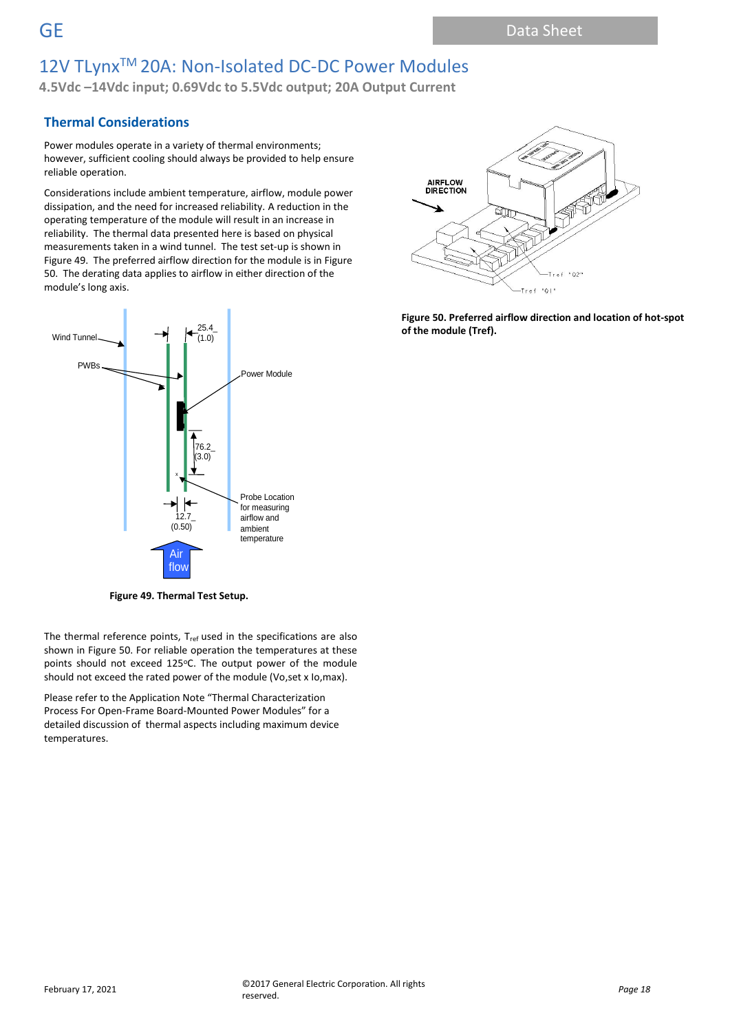# 12V TLynx™ 20A: Non-Isolated DC-DC Power Modules

**4.5Vdc –14Vdc input; 0.69Vdc to 5.5Vdc output; 20A Output Current**

### **Thermal Considerations**

Power modules operate in a variety of thermal environments; however, sufficient cooling should always be provided to help ensure reliable operation.

Considerations include ambient temperature, airflow, module power dissipation, and the need for increased reliability. A reduction in the operating temperature of the module will result in an increase in reliability. The thermal data presented here is based on physical measurements taken in a wind tunnel. The test set-up is shown in Figure 49. The preferred airflow direction for the module is in Figure 50. The derating data applies to airflow in either direction of the module's long axis.



**Figure 49. Thermal Test Setup.**

The thermal reference points, T<sub>ref</sub> used in the specifications are also shown in Figure 50. For reliable operation the temperatures at these points should not exceed 125°C. The output power of the module should not exceed the rated power of the module (Vo,set x Io,max).

Please refer to the Application Note "Thermal Characterization Process For Open-Frame Board-Mounted Power Modules" for a detailed discussion of thermal aspects including maximum device temperatures.



**Figure 50. Preferred airflow direction and location of hot-spot of the module (Tref).**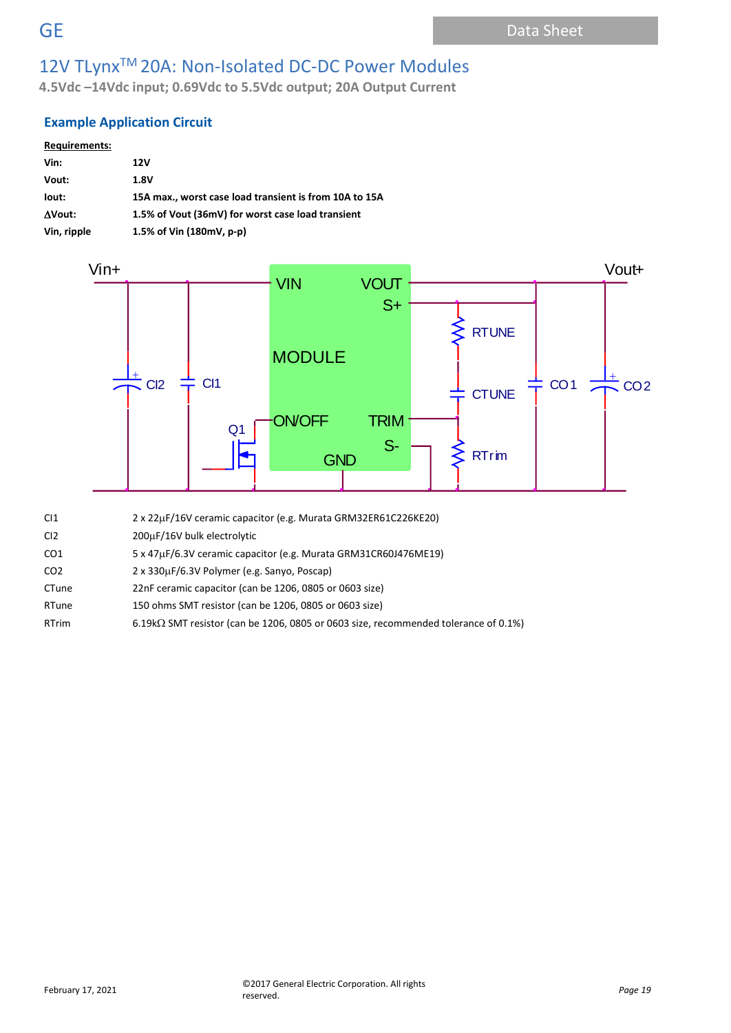**4.5Vdc –14Vdc input; 0.69Vdc to 5.5Vdc output; 20A Output Current**

# **Example Application Circuit**

| <b>Requirements:</b> |                                                        |
|----------------------|--------------------------------------------------------|
| Vin:                 | 12V                                                    |
| Vout:                | 1.8V                                                   |
| lout:                | 15A max., worst case load transient is from 10A to 15A |
| AVout:               | 1.5% of Vout (36mV) for worst case load transient      |
| Vin, ripple          | 1.5% of Vin (180mV, p-p)                               |



- CI1 2 x 22µF/16V ceramic capacitor (e.g. Murata GRM32ER61C226KE20)
- CI2 200µF/16V bulk electrolytic
- CO1 5 x 47µF/6.3V ceramic capacitor (e.g. Murata GRM31CR60J476ME19)
- CO2 2 x 330µF/6.3V Polymer (e.g. Sanyo, Poscap)
- CTune 22nF ceramic capacitor (can be 1206, 0805 or 0603 size)
- RTune 150 ohms SMT resistor (can be 1206, 0805 or 0603 size)
- RTrim 6.19k $\Omega$  SMT resistor (can be 1206, 0805 or 0603 size, recommended tolerance of 0.1%)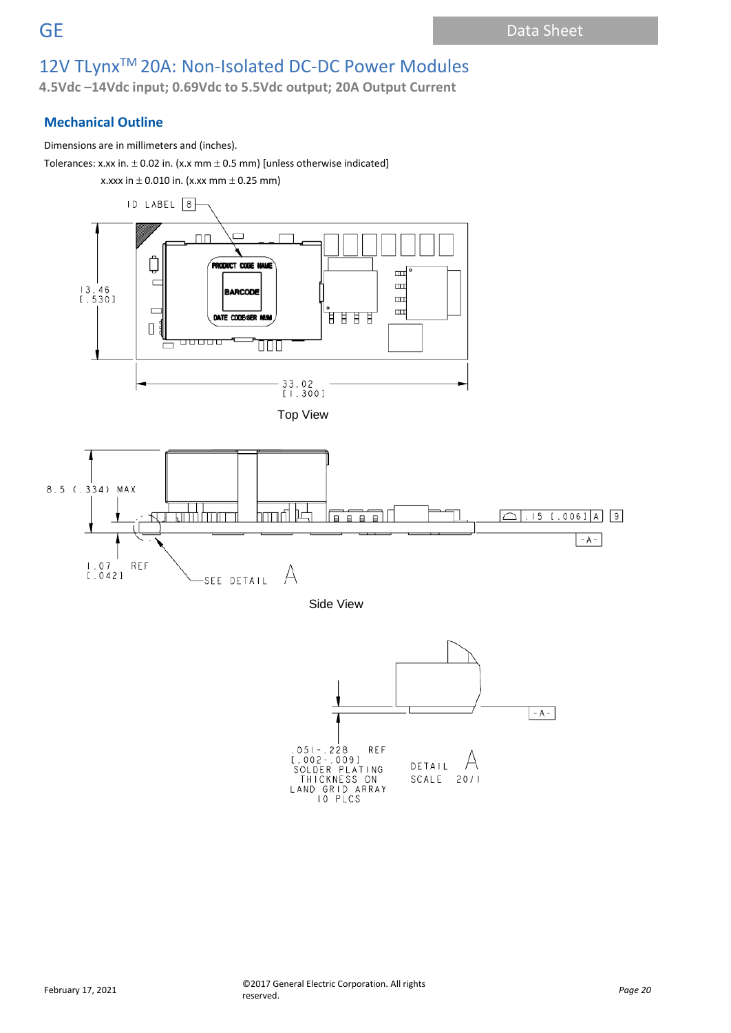**4.5Vdc –14Vdc input; 0.69Vdc to 5.5Vdc output; 20A Output Current**

# **Mechanical Outline**

Dimensions are in millimeters and (inches).

Tolerances: x.xx in.  $\pm$  0.02 in. (x.x mm  $\pm$  0.5 mm) [unless otherwise indicated]











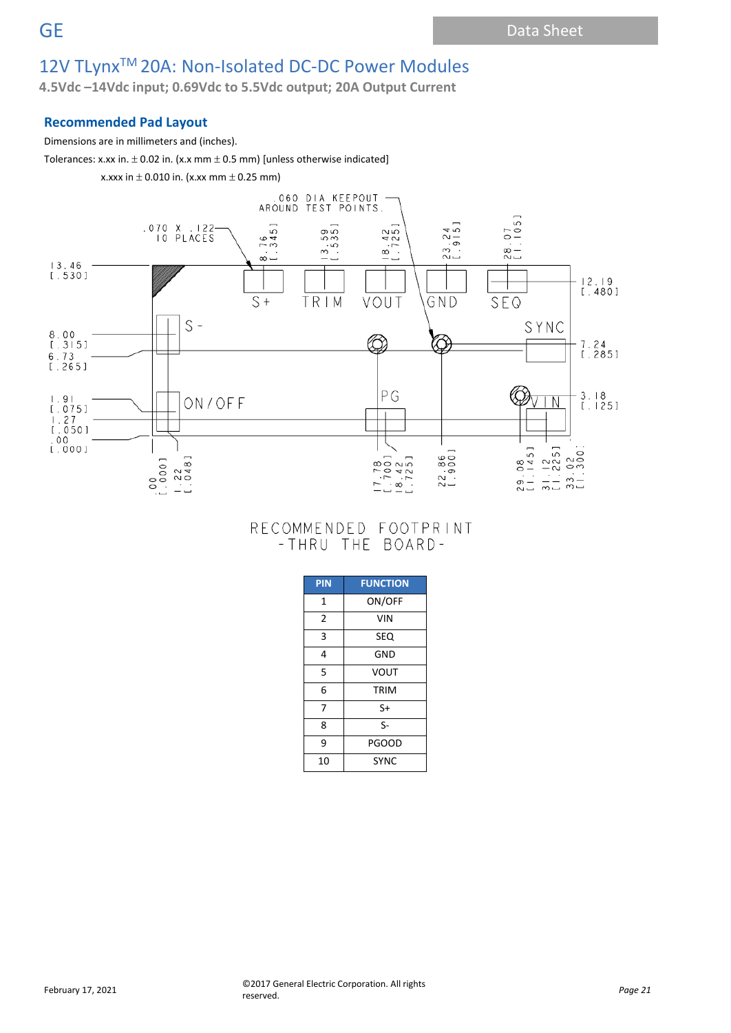**4.5Vdc –14Vdc input; 0.69Vdc to 5.5Vdc output; 20A Output Current**

### **Recommended Pad Layout**

### Dimensions are in millimeters and (inches).

Tolerances: x.xx in.  $\pm$  0.02 in. (x.x mm  $\pm$  0.5 mm) [unless otherwise indicated]

x.xxx in  $\pm$  0.010 in. (x.xx mm  $\pm$  0.25 mm)



# RECOMMENDED FOOTPRINT - THRU THE BOARD-

| <b>PIN</b>     | <b>FUNCTION</b> |  |  |  |  |  |  |
|----------------|-----------------|--|--|--|--|--|--|
| 1              | ON/OFF          |  |  |  |  |  |  |
| $\overline{2}$ | <b>VIN</b>      |  |  |  |  |  |  |
| 3              | SEQ             |  |  |  |  |  |  |
| 4              | GND             |  |  |  |  |  |  |
| 5              | VOUT            |  |  |  |  |  |  |
| 6              | TRIM            |  |  |  |  |  |  |
| 7              | $S+$            |  |  |  |  |  |  |
| 8              | $S-$            |  |  |  |  |  |  |
| 9              | <b>PGOOD</b>    |  |  |  |  |  |  |
| 10             | <b>SYNC</b>     |  |  |  |  |  |  |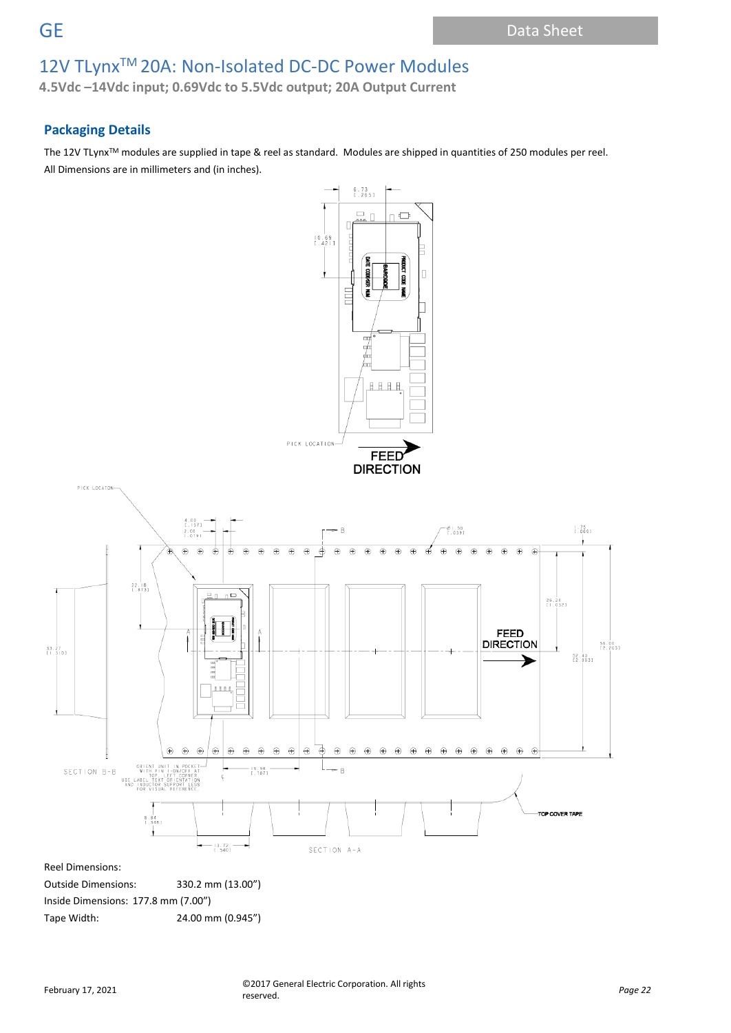**4.5Vdc –14Vdc input; 0.69Vdc to 5.5Vdc output; 20A Output Current**

# **Packaging Details**

The 12V TLynx<sup>™</sup> modules are supplied in tape & reel as standard. Modules are shipped in quantities of 250 modules per reel. All Dimensions are in millimeters and (in inches).

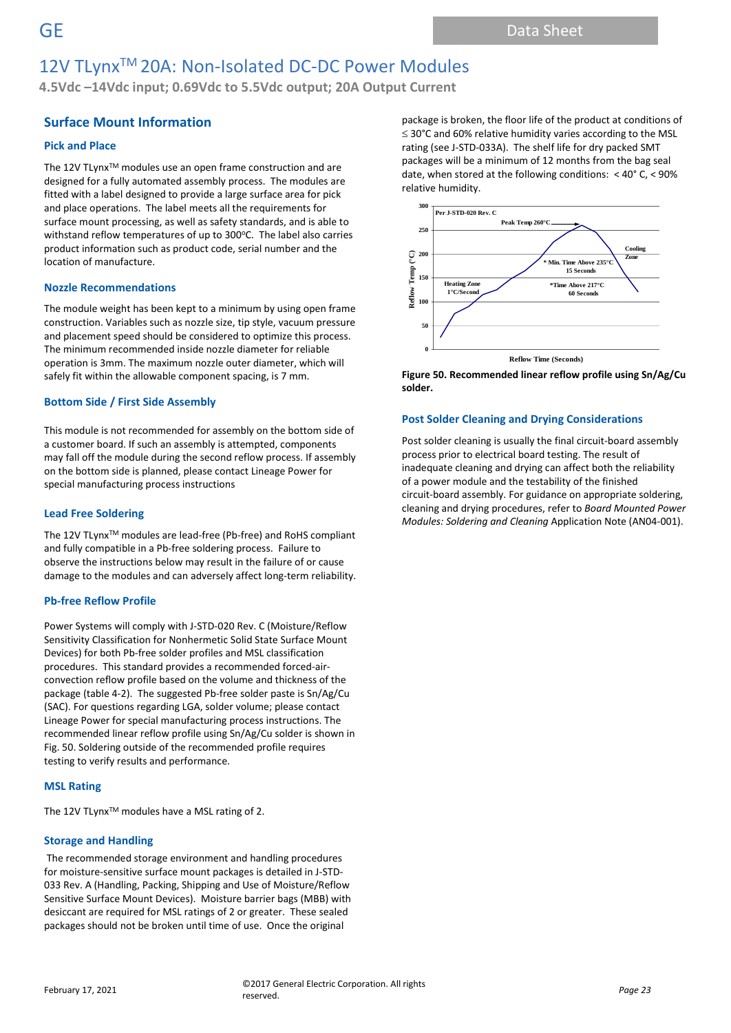**4.5Vdc –14Vdc input; 0.69Vdc to 5.5Vdc output; 20A Output Current**

### **Surface Mount Information**

### **Pick and Place**

The 12V TLynx<sup>™</sup> modules use an open frame construction and are designed for a fully automated assembly process. The modules are fitted with a label designed to provide a large surface area for pick and place operations. The label meets all the requirements for surface mount processing, as well as safety standards, and is able to withstand reflow temperatures of up to 300°C. The label also carries product information such as product code, serial number and the location of manufacture.

### **Nozzle Recommendations**

The module weight has been kept to a minimum by using open frame construction. Variables such as nozzle size, tip style, vacuum pressure and placement speed should be considered to optimize this process. The minimum recommended inside nozzle diameter for reliable operation is 3mm. The maximum nozzle outer diameter, which will safely fit within the allowable component spacing, is 7 mm.

### **Bottom Side / First Side Assembly**

This module is not recommended for assembly on the bottom side of a customer board. If such an assembly is attempted, components may fall off the module during the second reflow process. If assembly on the bottom side is planned, please contact Lineage Power for special manufacturing process instructions

### **Lead Free Soldering**

The 12V TLynx<sup>™</sup> modules are lead-free (Pb-free) and RoHS compliant and fully compatible in a Pb-free soldering process. Failure to observe the instructions below may result in the failure of or cause damage to the modules and can adversely affect long-term reliability.

#### **Pb-free Reflow Profile**

Power Systems will comply with J-STD-020 Rev. C (Moisture/Reflow Sensitivity Classification for Nonhermetic Solid State Surface Mount Devices) for both Pb-free solder profiles and MSL classification procedures. This standard provides a recommended forced-airconvection reflow profile based on the volume and thickness of the package (table 4-2). The suggested Pb-free solder paste is Sn/Ag/Cu (SAC). For questions regarding LGA, solder volume; please contact Lineage Power for special manufacturing process instructions. The recommended linear reflow profile using Sn/Ag/Cu solder is shown in Fig. 50. Soldering outside of the recommended profile requires testing to verify results and performance.

#### **MSL Rating**

The 12V TLynx<sup>™</sup> modules have a MSL rating of 2.

### **Storage and Handling**

The recommended storage environment and handling procedures for moisture-sensitive surface mount packages is detailed in J-STD-033 Rev. A (Handling, Packing, Shipping and Use of Moisture/Reflow Sensitive Surface Mount Devices). Moisture barrier bags (MBB) with desiccant are required for MSL ratings of 2 or greater. These sealed packages should not be broken until time of use. Once the original

package is broken, the floor life of the product at conditions of  $\leq$  30°C and 60% relative humidity varies according to the MSL rating (see J-STD-033A). The shelf life for dry packed SMT packages will be a minimum of 12 months from the bag seal date, when stored at the following conditions: < 40° C, < 90% relative humidity.



**Figure 50. Recommended linear reflow profile using Sn/Ag/Cu solder.**

### **Post Solder Cleaning and Drying Considerations**

Post solder cleaning is usually the final circuit-board assembly process prior to electrical board testing. The result of inadequate cleaning and drying can affect both the reliability of a power module and the testability of the finished circuit-board assembly. For guidance on appropriate soldering, cleaning and drying procedures, refer to *Board Mounted Power Modules: Soldering and Cleaning* Application Note (AN04-001).